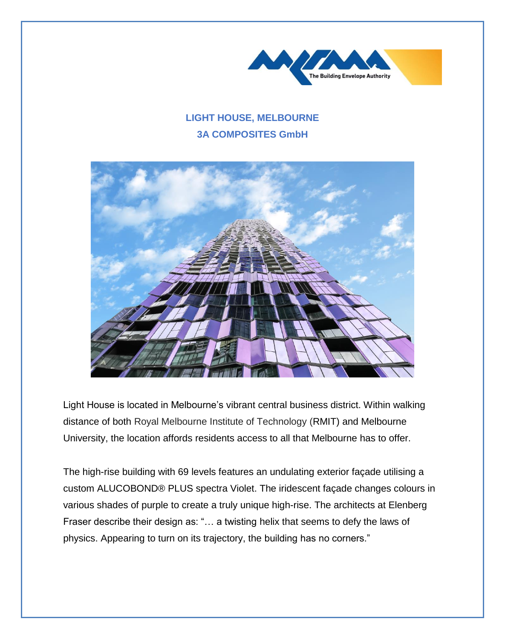

## **LIGHT HOUSE, MELBOURNE 3A COMPOSITES GmbH**



Light House is located in Melbourne's vibrant central business district. Within walking distance of both Royal Melbourne Institute of Technology (RMIT) and Melbourne University, the location affords residents access to all that Melbourne has to offer.

The high-rise building with 69 levels features an undulating exterior façade utilising a custom ALUCOBOND® PLUS spectra Violet. The iridescent façade changes colours in various shades of purple to create a truly unique high-rise. The architects at Elenberg Fraser describe their design as: "… a twisting helix that seems to defy the laws of physics. Appearing to turn on its trajectory, the building has no corners."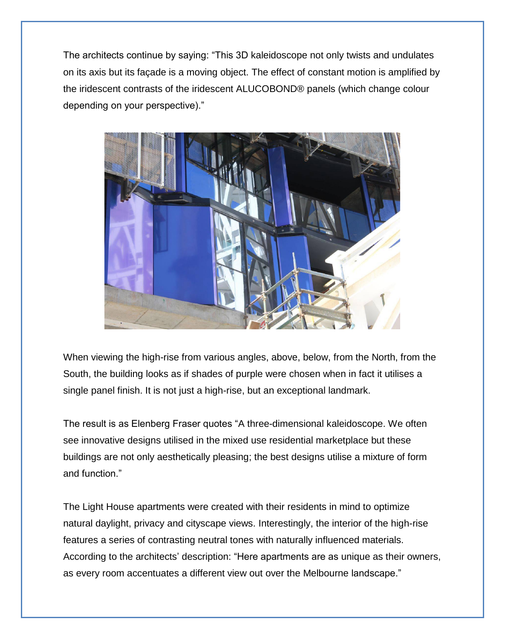The architects continue by saying: "This 3D kaleidoscope not only twists and undulates on its axis but its façade is a moving object. The effect of constant motion is amplified by the iridescent contrasts of the iridescent ALUCOBOND® panels (which change colour depending on your perspective)."



When viewing the high-rise from various angles, above, below, from the North, from the South, the building looks as if shades of purple were chosen when in fact it utilises a single panel finish. It is not just a high-rise, but an exceptional landmark.

The result is as Elenberg Fraser quotes "A three-dimensional kaleidoscope. We often see innovative designs utilised in the mixed use residential marketplace but these buildings are not only aesthetically pleasing; the best designs utilise a mixture of form and function."

The Light House apartments were created with their residents in mind to optimize natural daylight, privacy and cityscape views. Interestingly, the interior of the high-rise features a series of contrasting neutral tones with naturally influenced materials. According to the architects' description: "Here apartments are as unique as their owners, as every room accentuates a different view out over the Melbourne landscape."